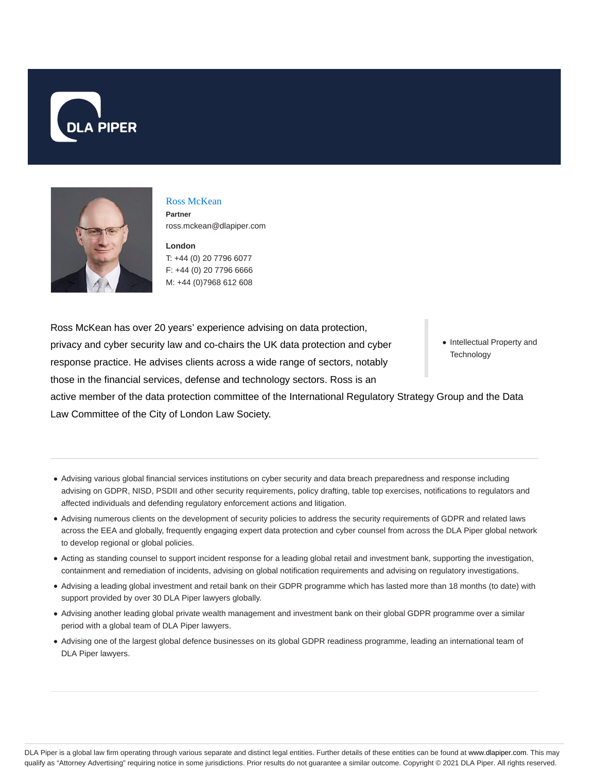



# Ross McKean **Partner**

ross.mckean@dlapiper.com

**London** T: +44 (0) 20 7796 6077 F: +44 (0) 20 7796 6666 M: +44 (0)7968 612 608

Ross McKean has over 20 years' experience advising on data protection, privacy and cyber security law and co-chairs the UK data protection and cyber response practice. He advises clients across a wide range of sectors, notably those in the financial services, defense and technology sectors. Ross is an

• Intellectual Property and **Technology** 

active member of the data protection committee of the International Regulatory Strategy Group and the Data Law Committee of the City of London Law Society.

- Advising various global financial services institutions on cyber security and data breach preparedness and response including advising on GDPR, NISD, PSDII and other security requirements, policy drafting, table top exercises, notifications to regulators and affected individuals and defending regulatory enforcement actions and litigation.
- Advising numerous clients on the development of security policies to address the security requirements of GDPR and related laws across the EEA and globally, frequently engaging expert data protection and cyber counsel from across the DLA Piper global network to develop regional or global policies.
- Acting as standing counsel to support incident response for a leading global retail and investment bank, supporting the investigation, containment and remediation of incidents, advising on global notification requirements and advising on regulatory investigations.
- Advising a leading global investment and retail bank on their GDPR programme which has lasted more than 18 months (to date) with support provided by over 30 DLA Piper lawyers globally.
- Advising another leading global private wealth management and investment bank on their global GDPR programme over a similar period with a global team of DLA Piper lawyers.
- Advising one of the largest global defence businesses on its global GDPR readiness programme, leading an international team of DLA Piper lawyers.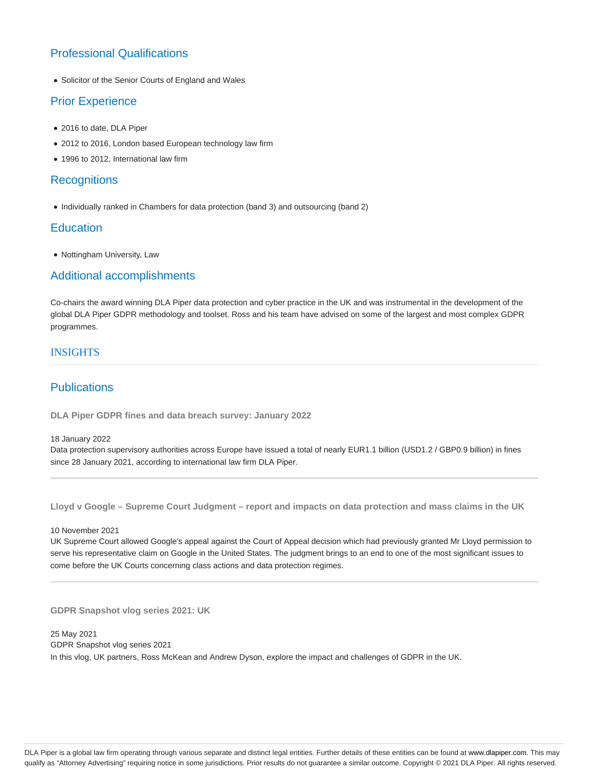## Professional Qualifications

Solicitor of the Senior Courts of England and Wales

## Prior Experience

- 2016 to date, DLA Piper
- 2012 to 2016, London based European technology law firm
- 1996 to 2012, International law firm

### **Recognitions**

• Individually ranked in Chambers for data protection (band 3) and outsourcing (band 2)

### **Education**

• Nottingham University, Law

### Additional accomplishments

Co-chairs the award winning DLA Piper data protection and cyber practice in the UK and was instrumental in the development of the global DLA Piper GDPR methodology and toolset. Ross and his team have advised on some of the largest and most complex GDPR programmes.

### INSIGHTS

## **Publications**

**DLA Piper GDPR fines and data breach survey: January 2022**

#### 18 January 2022

Data protection supervisory authorities across Europe have issued a total of nearly EUR1.1 billion (USD1.2 / GBP0.9 billion) in fines since 28 January 2021, according to international law firm DLA Piper.

**Lloyd v Google – Supreme Court Judgment – report and impacts on data protection and mass claims in the UK**

### 10 November 2021

UK Supreme Court allowed Google's appeal against the Court of Appeal decision which had previously granted Mr Lloyd permission to serve his representative claim on Google in the United States. The judgment brings to an end to one of the most significant issues to come before the UK Courts concerning class actions and data protection regimes.

**GDPR Snapshot vlog series 2021: UK**

25 May 2021 GDPR Snapshot vlog series 2021 In this vlog, UK partners, Ross McKean and Andrew Dyson, explore the impact and challenges of GDPR in the UK.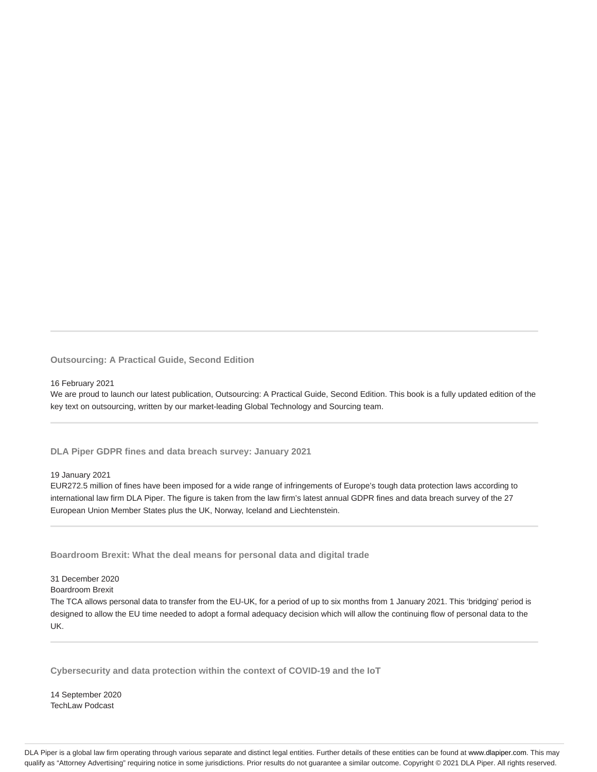**Outsourcing: A Practical Guide, Second Edition**

#### 16 February 2021

We are proud to launch our latest publication, Outsourcing: A Practical Guide, Second Edition. This book is a fully updated edition of the key text on outsourcing, written by our market-leading Global Technology and Sourcing team.

### **DLA Piper GDPR fines and data breach survey: January 2021**

#### 19 January 2021

EUR272.5 million of fines have been imposed for a wide range of infringements of Europe's tough data protection laws according to international law firm DLA Piper. The figure is taken from the law firm's latest annual GDPR fines and data breach survey of the 27 European Union Member States plus the UK, Norway, Iceland and Liechtenstein.

**Boardroom Brexit: What the deal means for personal data and digital trade**

#### 31 December 2020

#### Boardroom Brexit

The TCA allows personal data to transfer from the EU-UK, for a period of up to six months from 1 January 2021. This 'bridging' period is designed to allow the EU time needed to adopt a formal adequacy decision which will allow the continuing flow of personal data to the UK.

**Cybersecurity and data protection within the context of COVID-19 and the IoT**

14 September 2020 TechLaw Podcast

DLA Piper is a global law firm operating through various separate and distinct legal entities. Further details of these entities can be found at www.dlapiper.com. This may qualify as "Attorney Advertising" requiring notice in some jurisdictions. Prior results do not guarantee a similar outcome. Copyright © 2021 DLA Piper. All rights reserved.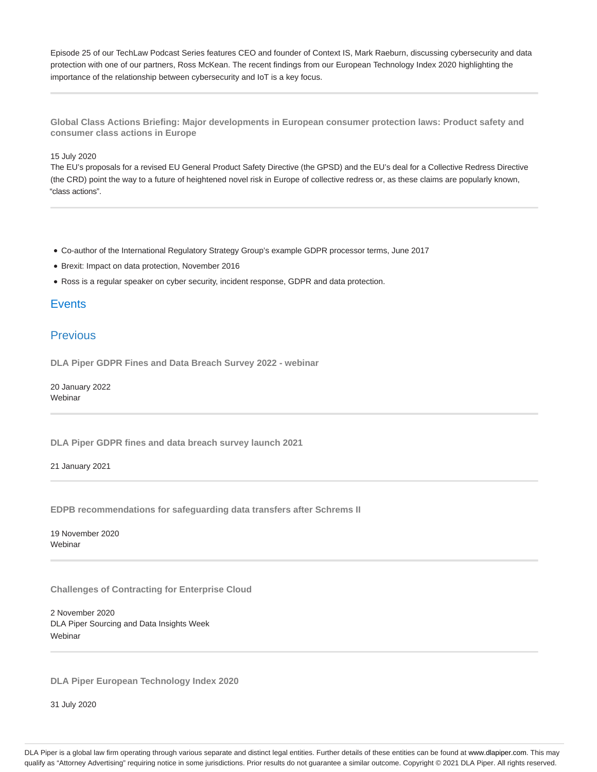Episode 25 of our TechLaw Podcast Series features CEO and founder of Context IS, Mark Raeburn, discussing cybersecurity and data protection with one of our partners, Ross McKean. The recent findings from our European Technology Index 2020 highlighting the importance of the relationship between cybersecurity and IoT is a key focus.

**Global Class Actions Briefing: Major developments in European consumer protection laws: Product safety and consumer class actions in Europe**

#### 15 July 2020

The EU's proposals for a revised EU General Product Safety Directive (the GPSD) and the EU's deal for a Collective Redress Directive (the CRD) point the way to a future of heightened novel risk in Europe of collective redress or, as these claims are popularly known, "class actions".

- Co-author of the International Regulatory Strategy Group's example GDPR processor terms, June 2017
- Brexit: Impact on data protection, November 2016
- Ross is a regular speaker on cyber security, incident response, GDPR and data protection.

### **Events**

### Previous

**DLA Piper GDPR Fines and Data Breach Survey 2022 - webinar**

20 January 2022 **Webinar** 

**DLA Piper GDPR fines and data breach survey launch 2021**

21 January 2021

**EDPB recommendations for safeguarding data transfers after Schrems II**

19 November 2020 Webinar

**Challenges of Contracting for Enterprise Cloud**

2 November 2020 DLA Piper Sourcing and Data Insights Week **Webinar** 

**DLA Piper European Technology Index 2020**

31 July 2020

DLA Piper is a global law firm operating through various separate and distinct legal entities. Further details of these entities can be found at www.dlapiper.com. This may qualify as "Attorney Advertising" requiring notice in some jurisdictions. Prior results do not guarantee a similar outcome. Copyright @ 2021 DLA Piper. All rights reserved.